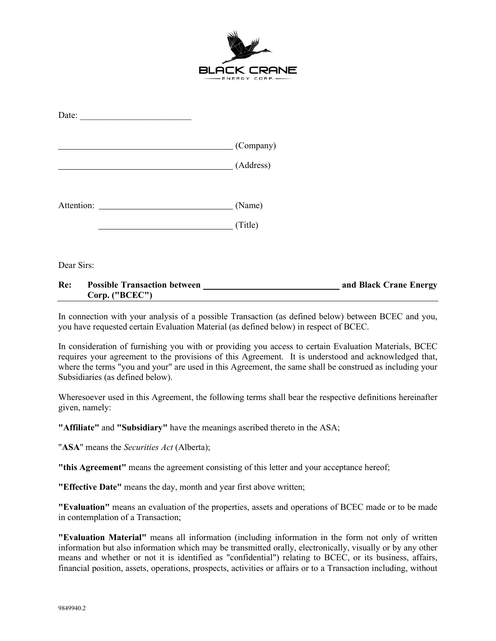

| Date:      |                    |
|------------|--------------------|
|            | $\Gamma$ (Company) |
|            | (Address)          |
| Attention: | (Name)<br>(Title)  |

Dear Sirs:

## **Re: Possible Transaction between and Black Crane Energy Corp. ("BCEC")**

In connection with your analysis of a possible Transaction (as defined below) between BCEC and you, you have requested certain Evaluation Material (as defined below) in respect of BCEC.

In consideration of furnishing you with or providing you access to certain Evaluation Materials, BCEC requires your agreement to the provisions of this Agreement. It is understood and acknowledged that, where the terms "you and your" are used in this Agreement, the same shall be construed as including your Subsidiaries (as defined below).

Wheresoever used in this Agreement, the following terms shall bear the respective definitions hereinafter given, namely:

**"Affiliate"** and **"Subsidiary"** have the meanings ascribed thereto in the ASA;

"**ASA**" means the *Securities Act* (Alberta);

**"this Agreement"** means the agreement consisting of this letter and your acceptance hereof;

**"Effective Date"** means the day, month and year first above written;

**"Evaluation"** means an evaluation of the properties, assets and operations of BCEC made or to be made in contemplation of a Transaction;

**"Evaluation Material"** means all information (including information in the form not only of written information but also information which may be transmitted orally, electronically, visually or by any other means and whether or not it is identified as "confidential") relating to BCEC, or its business, affairs, financial position, assets, operations, prospects, activities or affairs or to a Transaction including, without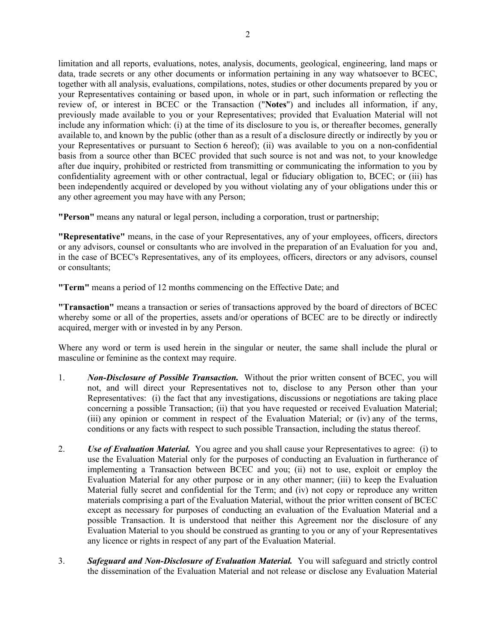limitation and all reports, evaluations, notes, analysis, documents, geological, engineering, land maps or data, trade secrets or any other documents or information pertaining in any way whatsoever to BCEC, together with all analysis, evaluations, compilations, notes, studies or other documents prepared by you or your Representatives containing or based upon, in whole or in part, such information or reflecting the review of, or interest in BCEC or the Transaction ("**Notes**") and includes all information, if any, previously made available to you or your Representatives; provided that Evaluation Material will not include any information which: (i) at the time of its disclosure to you is, or thereafter becomes, generally available to, and known by the public (other than as a result of a disclosure directly or indirectly by you or your Representatives or pursuant to Section [6](#page-2-0) hereof); (ii) was available to you on a non-confidential basis from a source other than BCEC provided that such source is not and was not, to your knowledge after due inquiry, prohibited or restricted from transmitting or communicating the information to you by confidentiality agreement with or other contractual, legal or fiduciary obligation to, BCEC; or (iii) has been independently acquired or developed by you without violating any of your obligations under this or any other agreement you may have with any Person;

**"Person"** means any natural or legal person, including a corporation, trust or partnership;

**"Representative"** means, in the case of your Representatives, any of your employees, officers, directors or any advisors, counsel or consultants who are involved in the preparation of an Evaluation for you and, in the case of BCEC's Representatives, any of its employees, officers, directors or any advisors, counsel or consultants;

**"Term"** means a period of 12 months commencing on the Effective Date; and

**"Transaction"** means a transaction or series of transactions approved by the board of directors of BCEC whereby some or all of the properties, assets and/or operations of BCEC are to be directly or indirectly acquired, merger with or invested in by any Person.

Where any word or term is used herein in the singular or neuter, the same shall include the plural or masculine or feminine as the context may require.

- <span id="page-1-0"></span>1. *Non-Disclosure of Possible Transaction.* Without the prior written consent of BCEC, you will not, and will direct your Representatives not to, disclose to any Person other than your Representatives: (i) the fact that any investigations, discussions or negotiations are taking place concerning a possible Transaction; (ii) that you have requested or received Evaluation Material; (iii) any opinion or comment in respect of the Evaluation Material; or (iv) any of the terms, conditions or any facts with respect to such possible Transaction, including the status thereof.
- 2. *Use of Evaluation Material.* You agree and you shall cause your Representatives to agree: (i) to use the Evaluation Material only for the purposes of conducting an Evaluation in furtherance of implementing a Transaction between BCEC and you; (ii) not to use, exploit or employ the Evaluation Material for any other purpose or in any other manner; (iii) to keep the Evaluation Material fully secret and confidential for the Term; and (iv) not copy or reproduce any written materials comprising a part of the Evaluation Material, without the prior written consent of BCEC except as necessary for purposes of conducting an evaluation of the Evaluation Material and a possible Transaction. It is understood that neither this Agreement nor the disclosure of any Evaluation Material to you should be construed as granting to you or any of your Representatives any licence or rights in respect of any part of the Evaluation Material.
- 3. *Safeguard and Non-Disclosure of Evaluation Material.* You will safeguard and strictly control the dissemination of the Evaluation Material and not release or disclose any Evaluation Material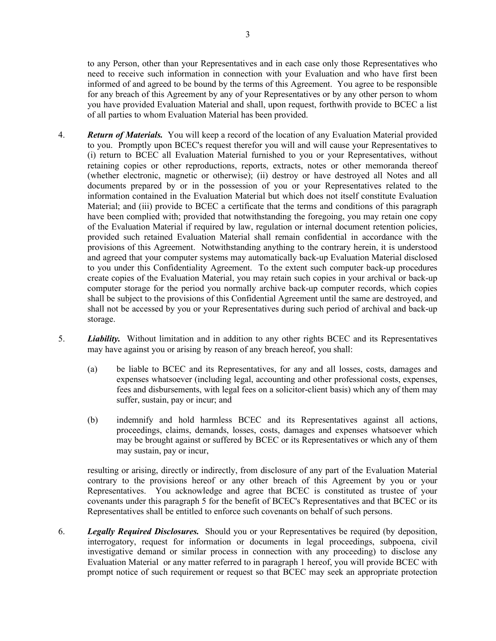to any Person, other than your Representatives and in each case only those Representatives who need to receive such information in connection with your Evaluation and who have first been informed of and agreed to be bound by the terms of this Agreement. You agree to be responsible for any breach of this Agreement by any of your Representatives or by any other person to whom you have provided Evaluation Material and shall, upon request, forthwith provide to BCEC a list of all parties to whom Evaluation Material has been provided.

- 4. *Return of Materials.* You will keep a record of the location of any Evaluation Material provided to you. Promptly upon BCEC's request therefor you will and will cause your Representatives to (i) return to BCEC all Evaluation Material furnished to you or your Representatives, without retaining copies or other reproductions, reports, extracts, notes or other memoranda thereof (whether electronic, magnetic or otherwise); (ii) destroy or have destroyed all Notes and all documents prepared by or in the possession of you or your Representatives related to the information contained in the Evaluation Material but which does not itself constitute Evaluation Material; and (iii) provide to BCEC a certificate that the terms and conditions of this paragraph have been complied with; provided that notwithstanding the foregoing, you may retain one copy of the Evaluation Material if required by law, regulation or internal document retention policies, provided such retained Evaluation Material shall remain confidential in accordance with the provisions of this Agreement. Notwithstanding anything to the contrary herein, it is understood and agreed that your computer systems may automatically back-up Evaluation Material disclosed to you under this Confidentiality Agreement. To the extent such computer back-up procedures create copies of the Evaluation Material, you may retain such copies in your archival or back-up computer storage for the period you normally archive back-up computer records, which copies shall be subject to the provisions of this Confidential Agreement until the same are destroyed, and shall not be accessed by you or your Representatives during such period of archival and back-up storage.
- <span id="page-2-1"></span>5. *Liability.* Without limitation and in addition to any other rights BCEC and its Representatives may have against you or arising by reason of any breach hereof, you shall:
	- (a) be liable to BCEC and its Representatives, for any and all losses, costs, damages and expenses whatsoever (including legal, accounting and other professional costs, expenses, fees and disbursements, with legal fees on a solicitor-client basis) which any of them may suffer, sustain, pay or incur; and
	- (b) indemnify and hold harmless BCEC and its Representatives against all actions, proceedings, claims, demands, losses, costs, damages and expenses whatsoever which may be brought against or suffered by BCEC or its Representatives or which any of them may sustain, pay or incur,

resulting or arising, directly or indirectly, from disclosure of any part of the Evaluation Material contrary to the provisions hereof or any other breach of this Agreement by you or your Representatives. You acknowledge and agree that BCEC is constituted as trustee of your covenants under this paragraph [5](#page-2-1) for the benefit of BCEC's Representatives and that BCEC or its Representatives shall be entitled to enforce such covenants on behalf of such persons.

<span id="page-2-0"></span>6. *Legally Required Disclosures.* Should you or your Representatives be required (by deposition, interrogatory, request for information or documents in legal proceedings, subpoena, civil investigative demand or similar process in connection with any proceeding) to disclose any Evaluation Material or any matter referred to in paragraph [1](#page-1-0) hereof, you will provide BCEC with prompt notice of such requirement or request so that BCEC may seek an appropriate protection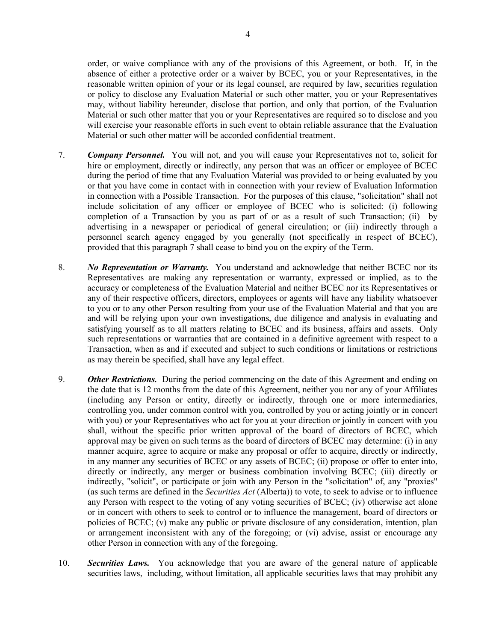order, or waive compliance with any of the provisions of this Agreement, or both. If, in the absence of either a protective order or a waiver by BCEC, you or your Representatives, in the reasonable written opinion of your or its legal counsel, are required by law, securities regulation or policy to disclose any Evaluation Material or such other matter, you or your Representatives may, without liability hereunder, disclose that portion, and only that portion, of the Evaluation Material or such other matter that you or your Representatives are required so to disclose and you will exercise your reasonable efforts in such event to obtain reliable assurance that the Evaluation Material or such other matter will be accorded confidential treatment.

- <span id="page-3-0"></span>7. *Company Personnel.* You will not, and you will cause your Representatives not to, solicit for hire or employment, directly or indirectly, any person that was an officer or employee of BCEC during the period of time that any Evaluation Material was provided to or being evaluated by you or that you have come in contact with in connection with your review of Evaluation Information in connection with a Possible Transaction. For the purposes of this clause, "solicitation" shall not include solicitation of any officer or employee of BCEC who is solicited: (i) following completion of a Transaction by you as part of or as a result of such Transaction; (ii) by advertising in a newspaper or periodical of general circulation; or (iii) indirectly through a personnel search agency engaged by you generally (not specifically in respect of BCEC), provided that this paragraph [7](#page-3-0) shall cease to bind you on the expiry of the Term.
- 8. *No Representation or Warranty.* You understand and acknowledge that neither BCEC nor its Representatives are making any representation or warranty, expressed or implied, as to the accuracy or completeness of the Evaluation Material and neither BCEC nor its Representatives or any of their respective officers, directors, employees or agents will have any liability whatsoever to you or to any other Person resulting from your use of the Evaluation Material and that you are and will be relying upon your own investigations, due diligence and analysis in evaluating and satisfying yourself as to all matters relating to BCEC and its business, affairs and assets. Only such representations or warranties that are contained in a definitive agreement with respect to a Transaction, when as and if executed and subject to such conditions or limitations or restrictions as may therein be specified, shall have any legal effect.
- <span id="page-3-1"></span>9. *Other Restrictions.* During the period commencing on the date of this Agreement and ending on the date that is 12 months from the date of this Agreement, neither you nor any of your Affiliates (including any Person or entity, directly or indirectly, through one or more intermediaries, controlling you, under common control with you, controlled by you or acting jointly or in concert with you) or your Representatives who act for you at your direction or jointly in concert with you shall, without the specific prior written approval of the board of directors of BCEC, which approval may be given on such terms as the board of directors of BCEC may determine: (i) in any manner acquire, agree to acquire or make any proposal or offer to acquire, directly or indirectly, in any manner any securities of BCEC or any assets of BCEC; (ii) propose or offer to enter into, directly or indirectly, any merger or business combination involving BCEC; (iii) directly or indirectly, "solicit", or participate or join with any Person in the "solicitation" of, any "proxies" (as such terms are defined in the *Securities Act* (Alberta)) to vote, to seek to advise or to influence any Person with respect to the voting of any voting securities of BCEC; (iv) otherwise act alone or in concert with others to seek to control or to influence the management, board of directors or policies of BCEC; (v) make any public or private disclosure of any consideration, intention, plan or arrangement inconsistent with any of the foregoing; or (vi) advise, assist or encourage any other Person in connection with any of the foregoing.
- 10. *Securities Laws.* You acknowledge that you are aware of the general nature of applicable securities laws, including, without limitation, all applicable securities laws that may prohibit any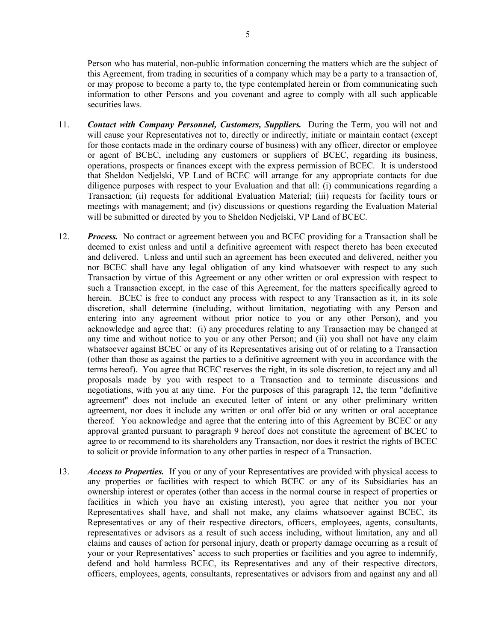Person who has material, non-public information concerning the matters which are the subject of this Agreement, from trading in securities of a company which may be a party to a transaction of, or may propose to become a party to, the type contemplated herein or from communicating such information to other Persons and you covenant and agree to comply with all such applicable securities laws.

- 11. *Contact with Company Personnel, Customers, Suppliers.* During the Term, you will not and will cause your Representatives not to, directly or indirectly, initiate or maintain contact (except for those contacts made in the ordinary course of business) with any officer, director or employee or agent of BCEC, including any customers or suppliers of BCEC, regarding its business, operations, prospects or finances except with the express permission of BCEC. It is understood that Sheldon Nedjelski, VP Land of BCEC will arrange for any appropriate contacts for due diligence purposes with respect to your Evaluation and that all: (i) communications regarding a Transaction; (ii) requests for additional Evaluation Material; (iii) requests for facility tours or meetings with management; and (iv) discussions or questions regarding the Evaluation Material will be submitted or directed by you to Sheldon Nedjelski, VP Land of BCEC.
- <span id="page-4-0"></span>12. *Process.* No contract or agreement between you and BCEC providing for a Transaction shall be deemed to exist unless and until a definitive agreement with respect thereto has been executed and delivered. Unless and until such an agreement has been executed and delivered, neither you nor BCEC shall have any legal obligation of any kind whatsoever with respect to any such Transaction by virtue of this Agreement or any other written or oral expression with respect to such a Transaction except, in the case of this Agreement, for the matters specifically agreed to herein. BCEC is free to conduct any process with respect to any Transaction as it, in its sole discretion, shall determine (including, without limitation, negotiating with any Person and entering into any agreement without prior notice to you or any other Person), and you acknowledge and agree that: (i) any procedures relating to any Transaction may be changed at any time and without notice to you or any other Person; and (ii) you shall not have any claim whatsoever against BCEC or any of its Representatives arising out of or relating to a Transaction (other than those as against the parties to a definitive agreement with you in accordance with the terms hereof). You agree that BCEC reserves the right, in its sole discretion, to reject any and all proposals made by you with respect to a Transaction and to terminate discussions and negotiations, with you at any time. For the purposes of this paragraph [12,](#page-4-0) the term "definitive agreement" does not include an executed letter of intent or any other preliminary written agreement, nor does it include any written or oral offer bid or any written or oral acceptance thereof. You acknowledge and agree that the entering into of this Agreement by BCEC or any approval granted pursuant to paragraph [9](#page-3-1) hereof does not constitute the agreement of BCEC to agree to or recommend to its shareholders any Transaction, nor does it restrict the rights of BCEC to solicit or provide information to any other parties in respect of a Transaction.
- 13. *Access to Properties.* If you or any of your Representatives are provided with physical access to any properties or facilities with respect to which BCEC or any of its Subsidiaries has an ownership interest or operates (other than access in the normal course in respect of properties or facilities in which you have an existing interest), you agree that neither you nor your Representatives shall have, and shall not make, any claims whatsoever against BCEC, its Representatives or any of their respective directors, officers, employees, agents, consultants, representatives or advisors as a result of such access including, without limitation, any and all claims and causes of action for personal injury, death or property damage occurring as a result of your or your Representatives' access to such properties or facilities and you agree to indemnify, defend and hold harmless BCEC, its Representatives and any of their respective directors, officers, employees, agents, consultants, representatives or advisors from and against any and all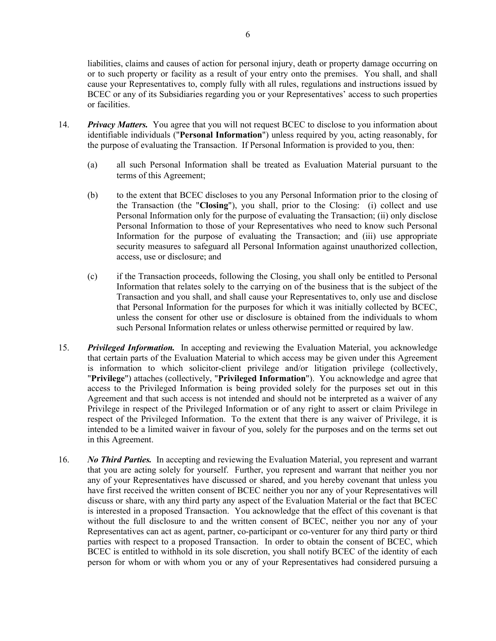liabilities, claims and causes of action for personal injury, death or property damage occurring on or to such property or facility as a result of your entry onto the premises. You shall, and shall cause your Representatives to, comply fully with all rules, regulations and instructions issued by BCEC or any of its Subsidiaries regarding you or your Representatives' access to such properties or facilities.

- 14. *Privacy Matters.* You agree that you will not request BCEC to disclose to you information about identifiable individuals ("**Personal Information**") unless required by you, acting reasonably, for the purpose of evaluating the Transaction. If Personal Information is provided to you, then:
	- (a) all such Personal Information shall be treated as Evaluation Material pursuant to the terms of this Agreement;
	- (b) to the extent that BCEC discloses to you any Personal Information prior to the closing of the Transaction (the "**Closing**"), you shall, prior to the Closing: (i) collect and use Personal Information only for the purpose of evaluating the Transaction; (ii) only disclose Personal Information to those of your Representatives who need to know such Personal Information for the purpose of evaluating the Transaction; and (iii) use appropriate security measures to safeguard all Personal Information against unauthorized collection, access, use or disclosure; and
	- (c) if the Transaction proceeds, following the Closing, you shall only be entitled to Personal Information that relates solely to the carrying on of the business that is the subject of the Transaction and you shall, and shall cause your Representatives to, only use and disclose that Personal Information for the purposes for which it was initially collected by BCEC, unless the consent for other use or disclosure is obtained from the individuals to whom such Personal Information relates or unless otherwise permitted or required by law.
- 15. *Privileged Information.* In accepting and reviewing the Evaluation Material, you acknowledge that certain parts of the Evaluation Material to which access may be given under this Agreement is information to which solicitor-client privilege and/or litigation privilege (collectively, "**Privilege**") attaches (collectively, "**Privileged Information**"). You acknowledge and agree that access to the Privileged Information is being provided solely for the purposes set out in this Agreement and that such access is not intended and should not be interpreted as a waiver of any Privilege in respect of the Privileged Information or of any right to assert or claim Privilege in respect of the Privileged Information. To the extent that there is any waiver of Privilege, it is intended to be a limited waiver in favour of you, solely for the purposes and on the terms set out in this Agreement.
- 16. *No Third Parties.* In accepting and reviewing the Evaluation Material, you represent and warrant that you are acting solely for yourself. Further, you represent and warrant that neither you nor any of your Representatives have discussed or shared, and you hereby covenant that unless you have first received the written consent of BCEC neither you nor any of your Representatives will discuss or share, with any third party any aspect of the Evaluation Material or the fact that BCEC is interested in a proposed Transaction. You acknowledge that the effect of this covenant is that without the full disclosure to and the written consent of BCEC, neither you nor any of your Representatives can act as agent, partner, co-participant or co-venturer for any third party or third parties with respect to a proposed Transaction. In order to obtain the consent of BCEC, which BCEC is entitled to withhold in its sole discretion, you shall notify BCEC of the identity of each person for whom or with whom you or any of your Representatives had considered pursuing a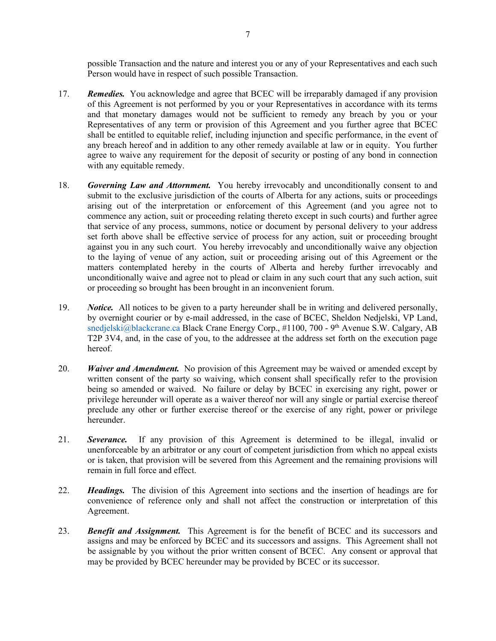possible Transaction and the nature and interest you or any of your Representatives and each such Person would have in respect of such possible Transaction.

- 17. *Remedies.* You acknowledge and agree that BCEC will be irreparably damaged if any provision of this Agreement is not performed by you or your Representatives in accordance with its terms and that monetary damages would not be sufficient to remedy any breach by you or your Representatives of any term or provision of this Agreement and you further agree that BCEC shall be entitled to equitable relief, including injunction and specific performance, in the event of any breach hereof and in addition to any other remedy available at law or in equity. You further agree to waive any requirement for the deposit of security or posting of any bond in connection with any equitable remedy.
- 18. *Governing Law and Attornment.* You hereby irrevocably and unconditionally consent to and submit to the exclusive jurisdiction of the courts of Alberta for any actions, suits or proceedings arising out of the interpretation or enforcement of this Agreement (and you agree not to commence any action, suit or proceeding relating thereto except in such courts) and further agree that service of any process, summons, notice or document by personal delivery to your address set forth above shall be effective service of process for any action, suit or proceeding brought against you in any such court. You hereby irrevocably and unconditionally waive any objection to the laying of venue of any action, suit or proceeding arising out of this Agreement or the matters contemplated hereby in the courts of Alberta and hereby further irrevocably and unconditionally waive and agree not to plead or claim in any such court that any such action, suit or proceeding so brought has been brought in an inconvenient forum.
- 19. *Notice.* All notices to be given to a party hereunder shall be in writing and delivered personally, by overnight courier or by e-mail addressed, in the case of BCEC, Sheldon Nedjelski, VP Land, [snedjelski@blackcrane.ca](mailto:snedjelski@blackcrane.ca) Black Crane Energy Corp., #1100, 700 - 9<sup>th</sup> Avenue S.W. Calgary, AB T2P 3V4, and, in the case of you, to the addressee at the address set forth on the execution page hereof.
- 20. *Waiver and Amendment.* No provision of this Agreement may be waived or amended except by written consent of the party so waiving, which consent shall specifically refer to the provision being so amended or waived. No failure or delay by BCEC in exercising any right, power or privilege hereunder will operate as a waiver thereof nor will any single or partial exercise thereof preclude any other or further exercise thereof or the exercise of any right, power or privilege hereunder.
- 21. *Severance.* If any provision of this Agreement is determined to be illegal, invalid or unenforceable by an arbitrator or any court of competent jurisdiction from which no appeal exists or is taken, that provision will be severed from this Agreement and the remaining provisions will remain in full force and effect.
- 22. *Headings.* The division of this Agreement into sections and the insertion of headings are for convenience of reference only and shall not affect the construction or interpretation of this Agreement.
- 23. *Benefit and Assignment.* This Agreement is for the benefit of BCEC and its successors and assigns and may be enforced by BCEC and its successors and assigns. This Agreement shall not be assignable by you without the prior written consent of BCEC. Any consent or approval that may be provided by BCEC hereunder may be provided by BCEC or its successor.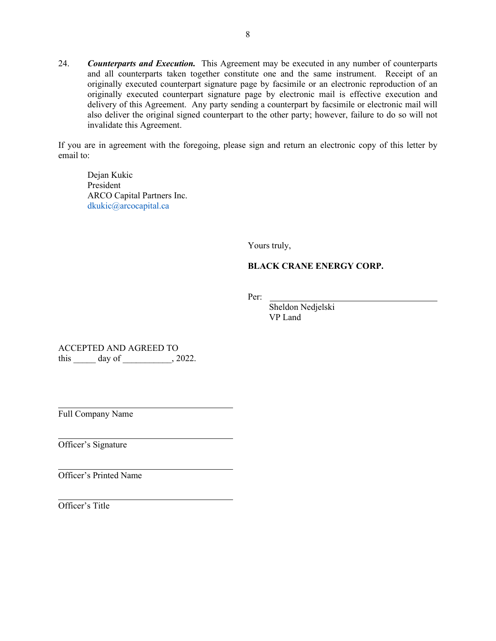24. *Counterparts and Execution.* This Agreement may be executed in any number of counterparts and all counterparts taken together constitute one and the same instrument. Receipt of an originally executed counterpart signature page by facsimile or an electronic reproduction of an originally executed counterpart signature page by electronic mail is effective execution and delivery of this Agreement. Any party sending a counterpart by facsimile or electronic mail will also deliver the original signed counterpart to the other party; however, failure to do so will not invalidate this Agreement.

If you are in agreement with the foregoing, please sign and return an electronic copy of this letter by email to:

Dejan Kukic President ARCO Capital Partners Inc. [dkukic@arcocapital.ca](mailto:snedjelski@blackcrane.ca)

Yours truly,

## **BLACK CRANE ENERGY CORP.**

Per:

 Sheldon Nedjelski VP Land

ACCEPTED AND AGREED TO this day of , 2022.

Full Company Name

Officer's Signature

Officer's Printed Name

Officer's Title